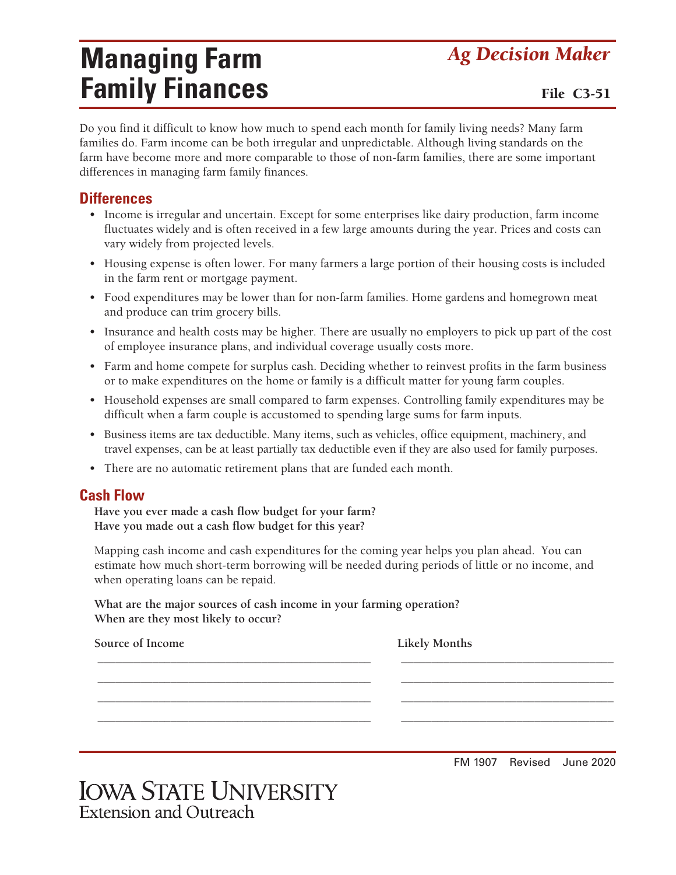# **Managing Farm** *Ag Decision Maker* **Family Finances** File C3-51

Do you find it difficult to know how much to spend each month for family living needs? Many farm families do. Farm income can be both irregular and unpredictable. Although living standards on the farm have become more and more comparable to those of non-farm families, there are some important differences in managing farm family finances.

#### **Differences**

- Income is irregular and uncertain. Except for some enterprises like dairy production, farm income fluctuates widely and is often received in a few large amounts during the year. Prices and costs can vary widely from projected levels.
- Housing expense is often lower. For many farmers a large portion of their housing costs is included in the farm rent or mortgage payment.
- Food expenditures may be lower than for non-farm families. Home gardens and homegrown meat and produce can trim grocery bills.
- Insurance and health costs may be higher. There are usually no employers to pick up part of the cost of employee insurance plans, and individual coverage usually costs more.
- Farm and home compete for surplus cash. Deciding whether to reinvest profits in the farm business or to make expenditures on the home or family is a difficult matter for young farm couples.
- Household expenses are small compared to farm expenses. Controlling family expenditures may be difficult when a farm couple is accustomed to spending large sums for farm inputs.
- Business items are tax deductible. Many items, such as vehicles, office equipment, machinery, and travel expenses, can be at least partially tax deductible even if they are also used for family purposes.
- There are no automatic retirement plans that are funded each month.

### **Cash Flow**

**Have you ever made a cash flow budget for your farm? Have you made out a cash flow budget for this year?**

Mapping cash income and cash expenditures for the coming year helps you plan ahead. You can estimate how much short-term borrowing will be needed during periods of little or no income, and when operating loans can be repaid.

**What are the major sources of cash income in your farming operation? When are they most likely to occur?**

| Source of Income | <b>Likely Months</b> |
|------------------|----------------------|
|                  |                      |
|                  |                      |
|                  |                      |
|                  |                      |

FM 1907 Revised June 2020

| <b>IOWA STATE UNIVERSITY</b>  |  |
|-------------------------------|--|
| <b>Extension and Outreach</b> |  |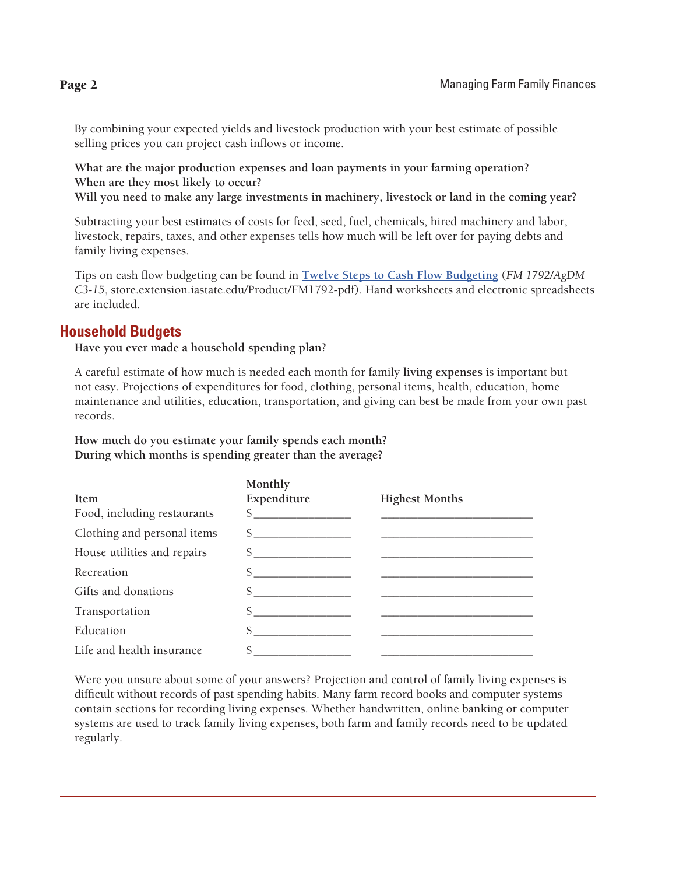By combining your expected yields and livestock production with your best estimate of possible selling prices you can project cash inflows or income.

**What are the major production expenses and loan payments in your farming operation? When are they most likely to occur?**

**Will you need to make any large investments in machinery, livestock or land in the coming year?**

Subtracting your best estimates of costs for feed, seed, fuel, chemicals, hired machinery and labor, livestock, repairs, taxes, and other expenses tells how much will be left over for paying debts and family living expenses.

Tips on cash flow budgeting can be found in **Twelve Steps to Cash Flow Budgeting** (*FM 1792/AgDM C3-15*, store.extension.iastate.edu/Product/FM1792-pdf). Hand worksheets and electronic spreadsheets are included.

### **Household Budgets**

**Have you ever made a household spending plan?**

A careful estimate of how much is needed each month for family **living expenses** is important but not easy. Projections of expenditures for food, clothing, personal items, health, education, home maintenance and utilities, education, transportation, and giving can best be made from your own past records.

**How much do you estimate your family spends each month? During which months is spending greater than the average?**

|                             | Monthly       |                       |
|-----------------------------|---------------|-----------------------|
| Item                        | Expenditure   | <b>Highest Months</b> |
| Food, including restaurants | $\frac{1}{2}$ |                       |
| Clothing and personal items | $\frac{1}{2}$ |                       |
| House utilities and repairs | $\frac{1}{2}$ |                       |
| Recreation                  | \$            |                       |
| Gifts and donations         | \$            |                       |
| Transportation              | \$            |                       |
| Education                   | \$            |                       |
| Life and health insurance   | \$            |                       |

Were you unsure about some of your answers? Projection and control of family living expenses is difficult without records of past spending habits. Many farm record books and computer systems contain sections for recording living expenses. Whether handwritten, online banking or computer systems are used to track family living expenses, both farm and family records need to be updated regularly.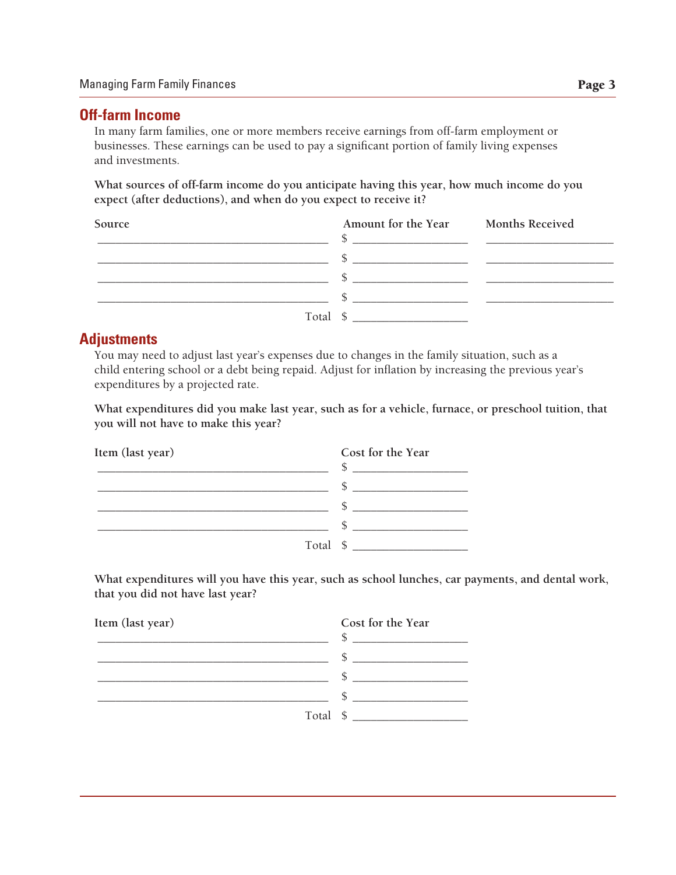## **Off-farm Income**

In many farm families, one or more members receive earnings from off-farm employment or businesses. These earnings can be used to pay a significant portion of family living expenses and investments.

**What sources of off-farm income do you anticipate having this year, how much income do you expect (after deductions), and when do you expect to receive it?**

| Source | Amount for the Year Months Received<br><u> 1980 - Jan Stein Berlin, amerikan besteht besteht aus der Stein Berlin und der Stein Berlin und der Stein Berlin</u> |  |
|--------|-----------------------------------------------------------------------------------------------------------------------------------------------------------------|--|
|        |                                                                                                                                                                 |  |
|        |                                                                                                                                                                 |  |
|        |                                                                                                                                                                 |  |
|        | Total \$                                                                                                                                                        |  |

### **Adjustments**

You may need to adjust last year's expenses due to changes in the family situation, such as a child entering school or a debt being repaid. Adjust for inflation by increasing the previous year's expenditures by a projected rate.

**What expenditures did you make last year, such as for a vehicle, furnace, or preschool tuition, that you will not have to make this year?**

| Item (last year) | Cost for the Year |
|------------------|-------------------|
|                  |                   |
|                  |                   |
|                  |                   |
|                  |                   |
| Total \$         |                   |

**What expenditures will you have this year, such as school lunches, car payments, and dental work, that you did not have last year?**

| Item (last year) | Cost for the Year |
|------------------|-------------------|
|                  |                   |
|                  |                   |
|                  |                   |
|                  |                   |
|                  | Total \$          |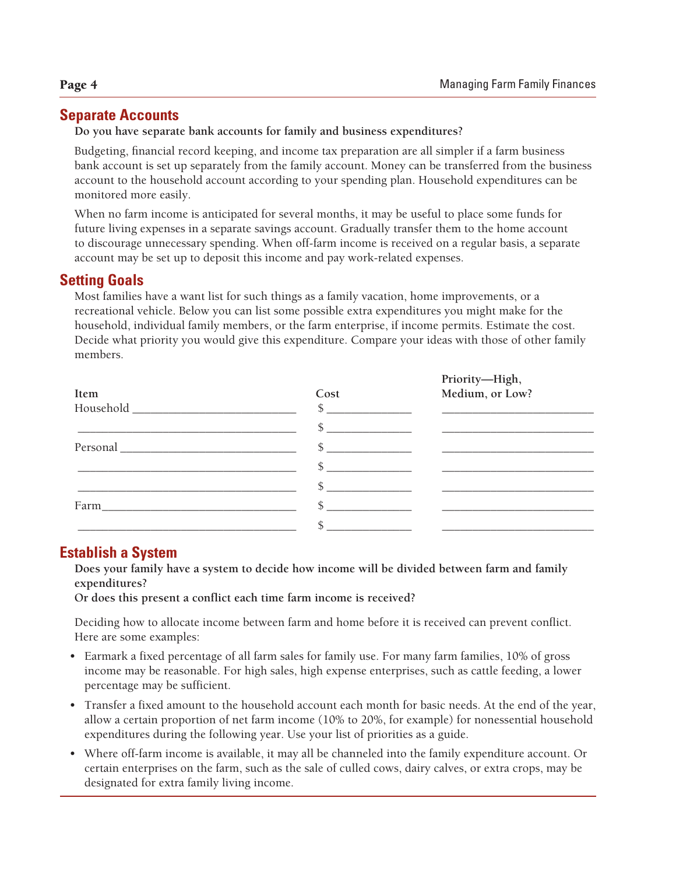**Priority—High,**

# **Separate Accounts**

**Do you have separate bank accounts for family and business expenditures?**

Budgeting, financial record keeping, and income tax preparation are all simpler if a farm business bank account is set up separately from the family account. Money can be transferred from the business account to the household account according to your spending plan. Household expenditures can be monitored more easily.

When no farm income is anticipated for several months, it may be useful to place some funds for future living expenses in a separate savings account. Gradually transfer them to the home account to discourage unnecessary spending. When off-farm income is received on a regular basis, a separate account may be set up to deposit this income and pay work-related expenses.

# **Setting Goals**

Most families have a want list for such things as a family vacation, home improvements, or a recreational vehicle. Below you can list some possible extra expenditures you might make for the household, individual family members, or the farm enterprise, if income permits. Estimate the cost. Decide what priority you would give this expenditure. Compare your ideas with those of other family members.

| Item | Cost          | Priority—High,<br>Medium, or Low?       |
|------|---------------|-----------------------------------------|
|      | $\sim$        | <u> 1989 - Andrea Station Barbara (</u> |
|      |               |                                         |
|      |               |                                         |
|      | $\mathcal{S}$ |                                         |
|      | $\sim$ $\sim$ |                                         |
| Farm |               |                                         |
|      |               |                                         |

# **Establish a System**

**Does your family have a system to decide how income will be divided between farm and family expenditures?**

**Or does this present a conflict each time farm income is received?**

Deciding how to allocate income between farm and home before it is received can prevent conflict. Here are some examples:

- Earmark a fixed percentage of all farm sales for family use. For many farm families, 10% of gross income may be reasonable. For high sales, high expense enterprises, such as cattle feeding, a lower percentage may be sufficient.
- Transfer a fixed amount to the household account each month for basic needs. At the end of the year, allow a certain proportion of net farm income (10% to 20%, for example) for nonessential household expenditures during the following year. Use your list of priorities as a guide.
- Where off-farm income is available, it may all be channeled into the family expenditure account. Or certain enterprises on the farm, such as the sale of culled cows, dairy calves, or extra crops, may be designated for extra family living income.